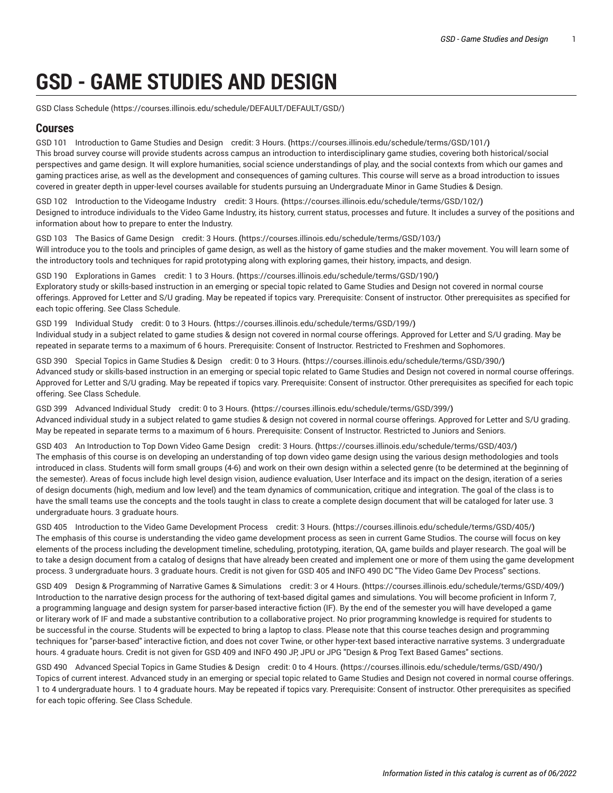# **GSD - GAME STUDIES AND DESIGN**

[GSD Class Schedule \(https://courses.illinois.edu/schedule/DEFAULT/DEFAULT/GSD/](https://courses.illinois.edu/schedule/DEFAULT/DEFAULT/GSD/))

## **Courses**

GSD 101 [Introduction](https://courses.illinois.edu/schedule/terms/GSD/101/) to Game Studies and Design credit: 3 Hours. **(**<https://courses.illinois.edu/schedule/terms/GSD/101/>**)** This broad survey course will provide students across campus an introduction to interdisciplinary game studies, covering both historical/social perspectives and game design. It will explore humanities, social science understandings of play, and the social contexts from which our games and gaming practices arise, as well as the development and consequences of gaming cultures. This course will serve as a broad introduction to issues covered in greater depth in upper-level courses available for students pursuing an Undergraduate Minor in Game Studies & Design.

GSD 102 [Introduction](https://courses.illinois.edu/schedule/terms/GSD/102/) to the Videogame Industry credit: 3 Hours. **(**<https://courses.illinois.edu/schedule/terms/GSD/102/>**)** Designed to introduce individuals to the Video Game Industry, its history, current status, processes and future. It includes a survey of the positions and information about how to prepare to enter the Industry.

GSD 103 The Basics of Game [Design](https://courses.illinois.edu/schedule/terms/GSD/103/) credit: 3 Hours. **(**<https://courses.illinois.edu/schedule/terms/GSD/103/>**)** Will introduce you to the tools and principles of game design, as well as the history of game studies and the maker movement. You will learn some of the introductory tools and techniques for rapid prototyping along with exploring games, their history, impacts, and design.

GSD 190 [Explorations](https://courses.illinois.edu/schedule/terms/GSD/190/) in Games credit: 1 to 3 Hours. **(**<https://courses.illinois.edu/schedule/terms/GSD/190/>**)** Exploratory study or skills-based instruction in an emerging or special topic related to Game Studies and Design not covered in normal course offerings. Approved for Letter and S/U grading. May be repeated if topics vary. Prerequisite: Consent of instructor. Other prerequisites as specified for each topic offering. See Class Schedule.

GSD 199 [Individual](https://courses.illinois.edu/schedule/terms/GSD/199/) Study credit: 0 to 3 Hours. **(**<https://courses.illinois.edu/schedule/terms/GSD/199/>**)** Individual study in a subject related to game studies & design not covered in normal course offerings. Approved for Letter and S/U grading. May be repeated in separate terms to a maximum of 6 hours. Prerequisite: Consent of Instructor. Restricted to Freshmen and Sophomores.

GSD 390 Special Topics in Game [Studies](https://courses.illinois.edu/schedule/terms/GSD/390/) & Design credit: 0 to 3 Hours. **(**<https://courses.illinois.edu/schedule/terms/GSD/390/>**)** Advanced study or skills-based instruction in an emerging or special topic related to Game Studies and Design not covered in normal course offerings. Approved for Letter and S/U grading. May be repeated if topics vary. Prerequisite: Consent of instructor. Other prerequisites as specified for each topic offering. See Class Schedule.

GSD 399 [Advanced](https://courses.illinois.edu/schedule/terms/GSD/399/) Individual Study credit: 0 to 3 Hours. **(**<https://courses.illinois.edu/schedule/terms/GSD/399/>**)** Advanced individual study in a subject related to game studies & design not covered in normal course offerings. Approved for Letter and S/U grading. May be repeated in separate terms to a maximum of 6 hours. Prerequisite: Consent of Instructor. Restricted to Juniors and Seniors.

GSD 403 An [Introduction](https://courses.illinois.edu/schedule/terms/GSD/403/) to Top Down Video Game Design credit: 3 Hours. **(**<https://courses.illinois.edu/schedule/terms/GSD/403/>**)** The emphasis of this course is on developing an understanding of top down video game design using the various design methodologies and tools introduced in class. Students will form small groups (4-6) and work on their own design within a selected genre (to be determined at the beginning of the semester). Areas of focus include high level design vision, audience evaluation, User Interface and its impact on the design, iteration of a series of design documents (high, medium and low level) and the team dynamics of communication, critique and integration. The goal of the class is to have the small teams use the concepts and the tools taught in class to create a complete design document that will be cataloged for later use. 3 undergraduate hours. 3 graduate hours.

GSD 405 Introduction to the Video Game [Development](https://courses.illinois.edu/schedule/terms/GSD/405/) Process credit: 3 Hours. **(**<https://courses.illinois.edu/schedule/terms/GSD/405/>**)** The emphasis of this course is understanding the video game development process as seen in current Game Studios. The course will focus on key elements of the process including the development timeline, scheduling, prototyping, iteration, QA, game builds and player research. The goal will be to take a design document from a catalog of designs that have already been created and implement one or more of them using the game development process. 3 undergraduate hours. 3 graduate hours. Credit is not given for [GSD 405](/search/?P=GSD%20405) and [INFO 490](/search/?P=INFO%20490) DC "The Video Game Dev Process" sections.

GSD 409 Design & [Programming](https://courses.illinois.edu/schedule/terms/GSD/409/) of Narrative Games & Simulations credit: 3 or 4 Hours. **(**<https://courses.illinois.edu/schedule/terms/GSD/409/>**)** Introduction to the narrative design process for the authoring of text-based digital games and simulations. You will become proficient in Inform 7, a programming language and design system for parser-based interactive fiction (IF). By the end of the semester you will have developed a game or literary work of IF and made a substantive contribution to a collaborative project. No prior programming knowledge is required for students to be successful in the course. Students will be expected to bring a laptop to class. Please note that this course teaches design and programming techniques for "parser-based" interactive fiction, and does not cover Twine, or other hyper-text based interactive narrative systems. 3 undergraduate hours. 4 graduate hours. Credit is not given for [GSD 409](/search/?P=GSD%20409) and [INFO 490](/search/?P=INFO%20490) JP, JPU or JPG "Design & Prog Text Based Games" sections.

GSD 490 [Advanced](https://courses.illinois.edu/schedule/terms/GSD/490/) Special Topics in Game Studies & Design credit: 0 to 4 Hours. **(**<https://courses.illinois.edu/schedule/terms/GSD/490/>**)** Topics of current interest. Advanced study in an emerging or special topic related to Game Studies and Design not covered in normal course offerings. 1 to 4 undergraduate hours. 1 to 4 graduate hours. May be repeated if topics vary. Prerequisite: Consent of instructor. Other prerequisites as specified for each topic offering. See Class Schedule.